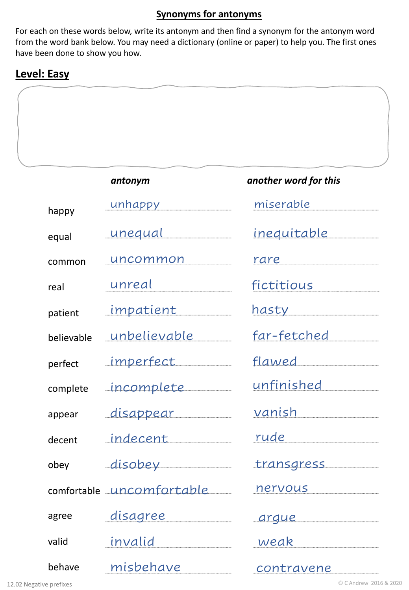#### **Synonyms for antonyms**

For each on these words below, write its antonym and then find a synonym for the antonym word from the word bank below. You may need a dictionary (online or paper) to help you. The first ones have been done to show you how.

### **Level: Easy**

| antonym | another word for this |
|---------|-----------------------|
|         |                       |
|         |                       |
|         |                       |
|         |                       |
|         |                       |
|         |                       |
|         |                       |
|         |                       |

| happy      | unhappy ___________       | miserable                 |
|------------|---------------------------|---------------------------|
| equal      | <u>unequal</u>            | <u>inequitable ______</u> |
| common     | uncommon                  | rare                      |
| real       | unreal                    | <u>fictitious _______</u> |
| patient    | <u>_impatient _______</u> | <u>hasty ____________</u> |
| believable | <u>_unbelievable ____</u> | far-fetched               |
| perfect    | _imperfect________        |                           |
| complete   | incomplete                | <u>unfinished_______</u>  |
| appear     | <u>disappear ______</u>   | <u>vanish _________</u>   |
| decent     | indecent                  | rude                      |
| obey       | disobey                   | transgress                |
|            | comfortable uncomfortable | <u>nervous _________</u>  |
| agree      |                           | argue                     |
| valid      |                           | <u>weak _________</u>     |
| behave     | misbehave                 | <u>contravene</u>         |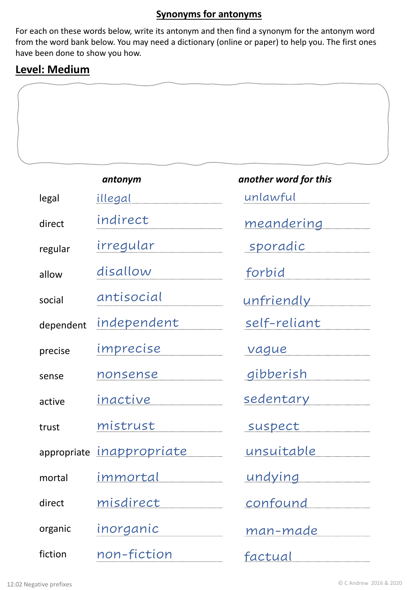#### **Synonyms for antonyms**

For each on these words below, write its antonym and then find a synonym for the antonym word from the word bank below. You may need a dictionary (online or paper) to help you. The first ones have been done to show you how.

# **Level: Medium**

|           | antonym                   | another word for this |
|-----------|---------------------------|-----------------------|
| legal     | illegal                   | unlawful              |
| direct    | indirect                  | meandering            |
| regular   | irregular                 | <u>sporadic</u>       |
| allow     | disallow                  | forbid                |
| social    | antisocial                | <u>unfriendly</u>     |
| dependent | independent               | self-reliant          |
| precise   | imprecise                 | vague                 |
| sense     | nonsense                  | gibberish             |
| active    | inactive                  | <u>sedentary</u>      |
| trust     | mistrust                  | suspect               |
|           | appropriate inappropriate | <u>unsuitable</u>     |
| mortal    | immortal                  | <u>undying</u>        |
| direct    | misdirect                 | confound              |
| organic   | inorganic                 | man-made              |
| fiction   | non-fiction               | factual               |

| another word for this                                                                                                  |  |  |
|------------------------------------------------------------------------------------------------------------------------|--|--|
| unlawful                                                                                                               |  |  |
| <u>meandering ______</u>                                                                                               |  |  |
| sporadic                                                                                                               |  |  |
| <u>forbid</u>                                                                                                          |  |  |
| <u>unfriendly _______</u>                                                                                              |  |  |
| self-reliant                                                                                                           |  |  |
| <u>vague</u>                                                                                                           |  |  |
| gibberish                                                                                                              |  |  |
| <u>sedentary representa</u>                                                                                            |  |  |
| suspect                                                                                                                |  |  |
| <u>unsuitable en mondial</u>                                                                                           |  |  |
| <u>undying and the second second second second second second second second second second second second second seco</u> |  |  |
| <u>confound</u>                                                                                                        |  |  |
| <u>man-made _____</u>                                                                                                  |  |  |
| <u>factual</u>                                                                                                         |  |  |